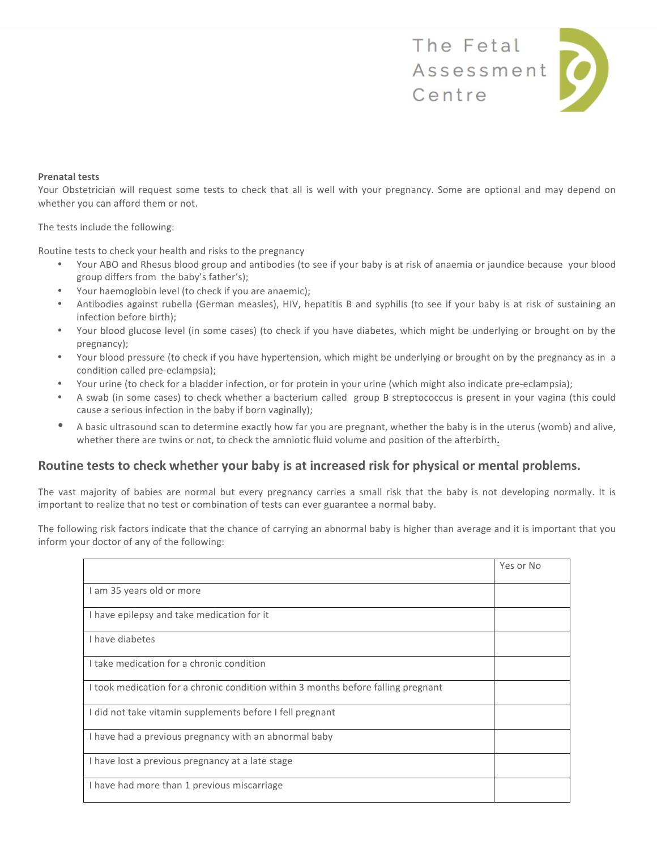

### **Prenatal tests**

Your Obstetrician will request some tests to check that all is well with your pregnancy. Some are optional and may depend on whether you can afford them or not.

The tests include the following:

Routine tests to check your health and risks to the pregnancy

- Your ABO and Rhesus blood group and antibodies (to see if your baby is at risk of anaemia or jaundice because your blood group differs from the baby's father's);
- Your haemoglobin level (to check if you are anaemic);
- Antibodies against rubella (German measles), HIV, hepatitis B and syphilis (to see if your baby is at risk of sustaining an infection before birth);
- Your blood glucose level (in some cases) (to check if you have diabetes, which might be underlying or brought on by the pregnancy);
- Your blood pressure (to check if you have hypertension, which might be underlying or brought on by the pregnancy as in a condition called pre-eclampsia);
- Your urine (to check for a bladder infection, or for protein in your urine (which might also indicate pre-eclampsia);
- A swab (in some cases) to check whether a bacterium called group B streptococcus is present in your vagina (this could cause a serious infection in the baby if born vaginally);
- A basic ultrasound scan to determine exactly how far you are pregnant, whether the baby is in the uterus (womb) and alive, whether there are twins or not, to check the amniotic fluid volume and position of the afterbirth**.**

# **Routine tests to check whether your baby is at increased risk for physical or mental problems.**

The vast majority of babies are normal but every pregnancy carries a small risk that the baby is not developing normally. It is important to realize that no test or combination of tests can ever guarantee a normal baby.

The following risk factors indicate that the chance of carrying an abnormal baby is higher than average and it is important that you inform your doctor of any of the following:

|                                                                                   | Yes or No |
|-----------------------------------------------------------------------------------|-----------|
| I am 35 years old or more                                                         |           |
| I have epilepsy and take medication for it                                        |           |
| I have diabetes                                                                   |           |
| I take medication for a chronic condition                                         |           |
| I took medication for a chronic condition within 3 months before falling pregnant |           |
| I did not take vitamin supplements before I fell pregnant                         |           |
| I have had a previous pregnancy with an abnormal baby                             |           |
| I have lost a previous pregnancy at a late stage                                  |           |
| I have had more than 1 previous miscarriage                                       |           |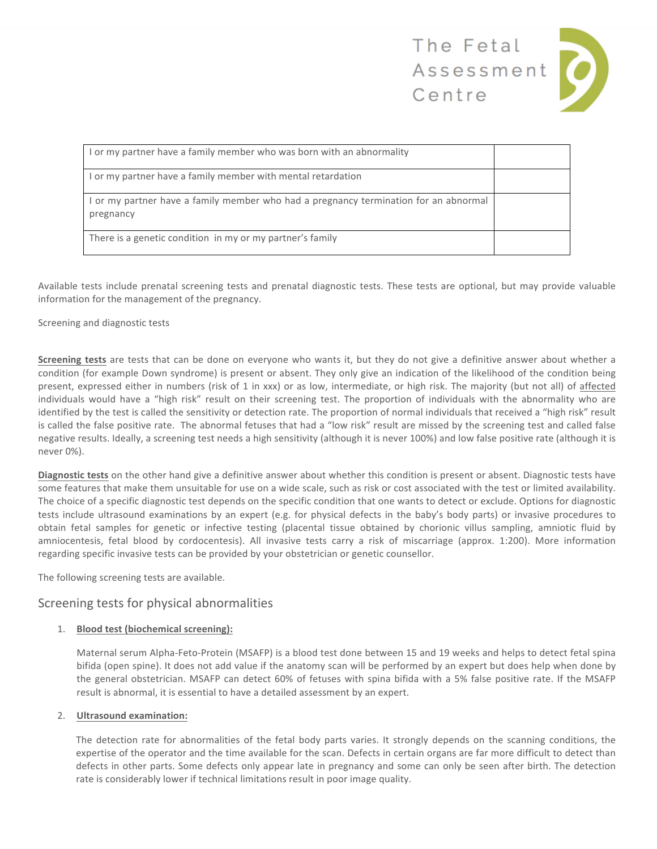

| I or my partner have a family member who was born with an abnormality                             |  |
|---------------------------------------------------------------------------------------------------|--|
| I or my partner have a family member with mental retardation                                      |  |
| I or my partner have a family member who had a pregnancy termination for an abnormal<br>pregnancy |  |
| There is a genetic condition in my or my partner's family                                         |  |

Available tests include prenatal screening tests and prenatal diagnostic tests. These tests are optional, but may provide valuable information for the management of the pregnancy.

Screening and diagnostic tests

**Screening tests** are tests that can be done on everyone who wants it, but they do not give a definitive answer about whether a condition (for example Down syndrome) is present or absent. They only give an indication of the likelihood of the condition being present, expressed either in numbers (risk of 1 in xxx) or as low, intermediate, or high risk. The majority (but not all) of affected individuals would have a "high risk" result on their screening test. The proportion of individuals with the abnormality who are identified by the test is called the sensitivity or detection rate. The proportion of normal individuals that received a "high risk" result is called the false positive rate. The abnormal fetuses that had a "low risk" result are missed by the screening test and called false negative results. Ideally, a screening test needs a high sensitivity (although it is never 100%) and low false positive rate (although it is never 0%).

**Diagnostic tests** on the other hand give a definitive answer about whether this condition is present or absent. Diagnostic tests have some features that make them unsuitable for use on a wide scale, such as risk or cost associated with the test or limited availability. The choice of a specific diagnostic test depends on the specific condition that one wants to detect or exclude. Options for diagnostic tests include ultrasound examinations by an expert (e.g. for physical defects in the baby's body parts) or invasive procedures to obtain fetal samples for genetic or infective testing (placental tissue obtained by chorionic villus sampling, amniotic fluid by amniocentesis, fetal blood by cordocentesis). All invasive tests carry a risk of miscarriage (approx. 1:200). More information regarding specific invasive tests can be provided by your obstetrician or genetic counsellor.

The following screening tests are available.

## Screening tests for physical abnormalities

### 1. **Blood test (biochemical screening):**

Maternal serum Alpha-Feto-Protein (MSAFP) is a blood test done between 15 and 19 weeks and helps to detect fetal spina bifida (open spine). It does not add value if the anatomy scan will be performed by an expert but does help when done by the general obstetrician. MSAFP can detect 60% of fetuses with spina bifida with a 5% false positive rate. If the MSAFP result is abnormal, it is essential to have a detailed assessment by an expert.

### 2. **Ultrasound examination:**

The detection rate for abnormalities of the fetal body parts varies. It strongly depends on the scanning conditions, the expertise of the operator and the time available for the scan. Defects in certain organs are far more difficult to detect than defects in other parts. Some defects only appear late in pregnancy and some can only be seen after birth. The detection rate is considerably lower if technical limitations result in poor image quality.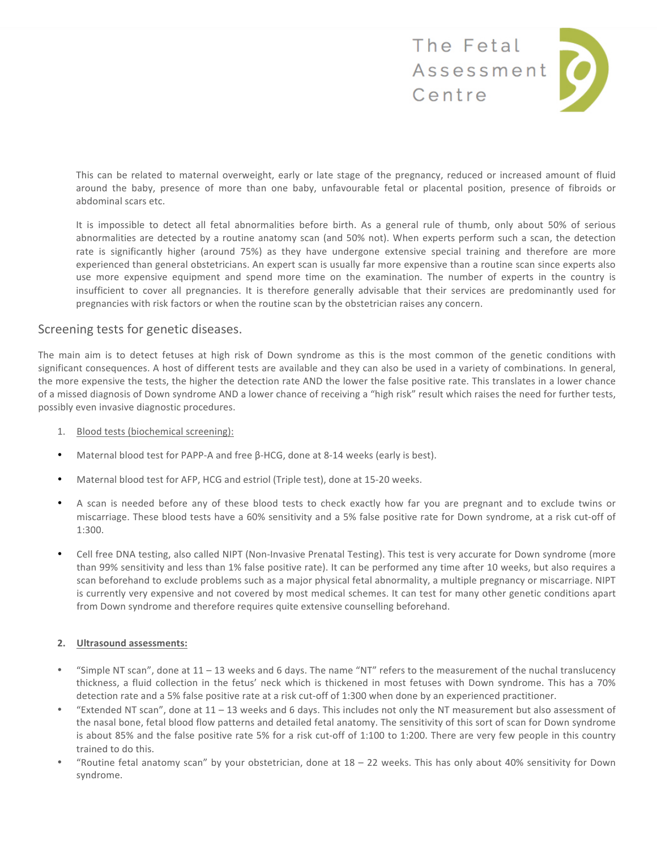

This can be related to maternal overweight, early or late stage of the pregnancy, reduced or increased amount of fluid around the baby, presence of more than one baby, unfavourable fetal or placental position, presence of fibroids or abdominal scars etc.

It is impossible to detect all fetal abnormalities before birth. As a general rule of thumb, only about 50% of serious abnormalities are detected by a routine anatomy scan (and 50% not). When experts perform such a scan, the detection rate is significantly higher (around 75%) as they have undergone extensive special training and therefore are more experienced than general obstetricians. An expert scan is usually far more expensive than a routine scan since experts also use more expensive equipment and spend more time on the examination. The number of experts in the country is insufficient to cover all pregnancies. It is therefore generally advisable that their services are predominantly used for pregnancies with risk factors or when the routine scan by the obstetrician raises any concern.

# Screening tests for genetic diseases.

The main aim is to detect fetuses at high risk of Down syndrome as this is the most common of the genetic conditions with significant consequences. A host of different tests are available and they can also be used in a variety of combinations. In general, the more expensive the tests, the higher the detection rate AND the lower the false positive rate. This translates in a lower chance of a missed diagnosis of Down syndrome AND a lower chance of receiving a "high risk" result which raises the need for further tests, possibly even invasive diagnostic procedures.

- 1. Blood tests (biochemical screening):
- Maternal blood test for PAPP-A and free β-HCG, done at 8-14 weeks (early is best).
- Maternal blood test for AFP, HCG and estriol (Triple test), done at 15-20 weeks.
- A scan is needed before any of these blood tests to check exactly how far you are pregnant and to exclude twins or miscarriage. These blood tests have a 60% sensitivity and a 5% false positive rate for Down syndrome, at a risk cut-off of 1:300.
- Cell free DNA testing, also called NIPT (Non-Invasive Prenatal Testing). This test is very accurate for Down syndrome (more than 99% sensitivity and less than 1% false positive rate). It can be performed any time after 10 weeks, but also requires a scan beforehand to exclude problems such as a major physical fetal abnormality, a multiple pregnancy or miscarriage. NIPT is currently very expensive and not covered by most medical schemes. It can test for many other genetic conditions apart from Down syndrome and therefore requires quite extensive counselling beforehand.

## **2. Ultrasound assessments:**

- "Simple NT scan", done at  $11 13$  weeks and 6 days. The name "NT" refers to the measurement of the nuchal translucency thickness, a fluid collection in the fetus' neck which is thickened in most fetuses with Down syndrome. This has a 70% detection rate and a 5% false positive rate at a risk cut-off of 1:300 when done by an experienced practitioner.
- "Extended NT scan", done at  $11 13$  weeks and 6 days. This includes not only the NT measurement but also assessment of the nasal bone, fetal blood flow patterns and detailed fetal anatomy. The sensitivity of this sort of scan for Down syndrome is about 85% and the false positive rate 5% for a risk cut-off of 1:100 to 1:200. There are very few people in this country trained to do this.
- "Routine fetal anatomy scan" by your obstetrician, done at  $18 22$  weeks. This has only about 40% sensitivity for Down syndrome.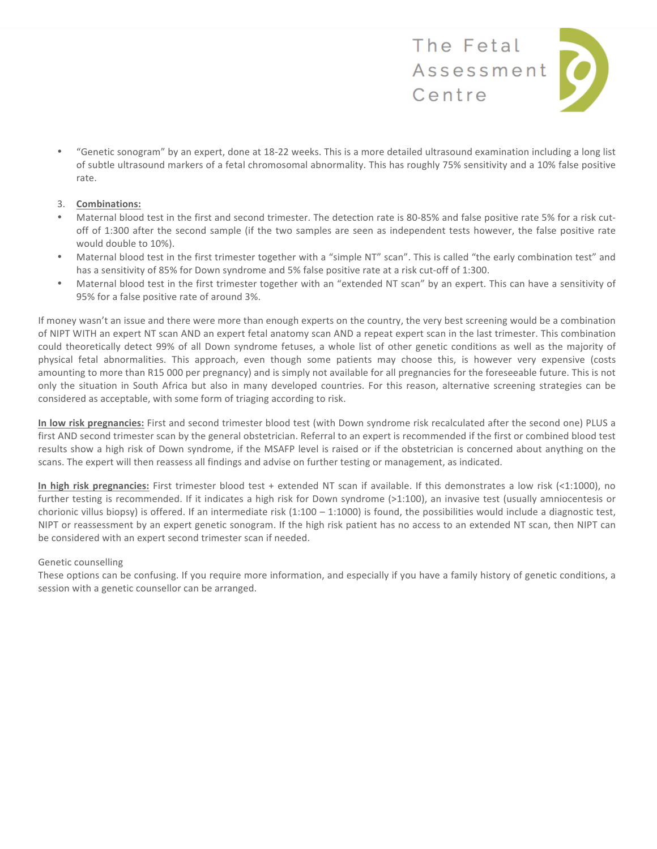

• "Genetic sonogram" by an expert, done at 18-22 weeks. This is a more detailed ultrasound examination including a long list of subtle ultrasound markers of a fetal chromosomal abnormality. This has roughly 75% sensitivity and a 10% false positive rate.

### 3. **Combinations:**

- Maternal blood test in the first and second trimester. The detection rate is 80-85% and false positive rate 5% for a risk cutoff of 1:300 after the second sample (if the two samples are seen as independent tests however, the false positive rate would double to 10%).
- Maternal blood test in the first trimester together with a "simple NT" scan". This is called "the early combination test" and has a sensitivity of 85% for Down syndrome and 5% false positive rate at a risk cut-off of 1:300.
- Maternal blood test in the first trimester together with an "extended NT scan" by an expert. This can have a sensitivity of 95% for a false positive rate of around 3%.

If money wasn't an issue and there were more than enough experts on the country, the very best screening would be a combination of NIPT WITH an expert NT scan AND an expert fetal anatomy scan AND a repeat expert scan in the last trimester. This combination could theoretically detect 99% of all Down syndrome fetuses, a whole list of other genetic conditions as well as the majority of physical fetal abnormalities. This approach, even though some patients may choose this, is however very expensive (costs amounting to more than R15 000 per pregnancy) and is simply not available for all pregnancies for the foreseeable future. This is not only the situation in South Africa but also in many developed countries. For this reason, alternative screening strategies can be considered as acceptable, with some form of triaging according to risk.

**In low risk pregnancies:** First and second trimester blood test (with Down syndrome risk recalculated after the second one) PLUS a first AND second trimester scan by the general obstetrician. Referral to an expert is recommended if the first or combined blood test results show a high risk of Down syndrome, if the MSAFP level is raised or if the obstetrician is concerned about anything on the scans. The expert will then reassess all findings and advise on further testing or management, as indicated.

**In high risk pregnancies:** First trimester blood test + extended NT scan if available. If this demonstrates a low risk (<1:1000), no further testing is recommended. If it indicates a high risk for Down syndrome (>1:100), an invasive test (usually amniocentesis or chorionic villus biopsy) is offered. If an intermediate risk  $(1:100 - 1:1000)$  is found, the possibilities would include a diagnostic test, NIPT or reassessment by an expert genetic sonogram. If the high risk patient has no access to an extended NT scan, then NIPT can be considered with an expert second trimester scan if needed.

### Genetic counselling

These options can be confusing. If you require more information, and especially if you have a family history of genetic conditions, a session with a genetic counsellor can be arranged.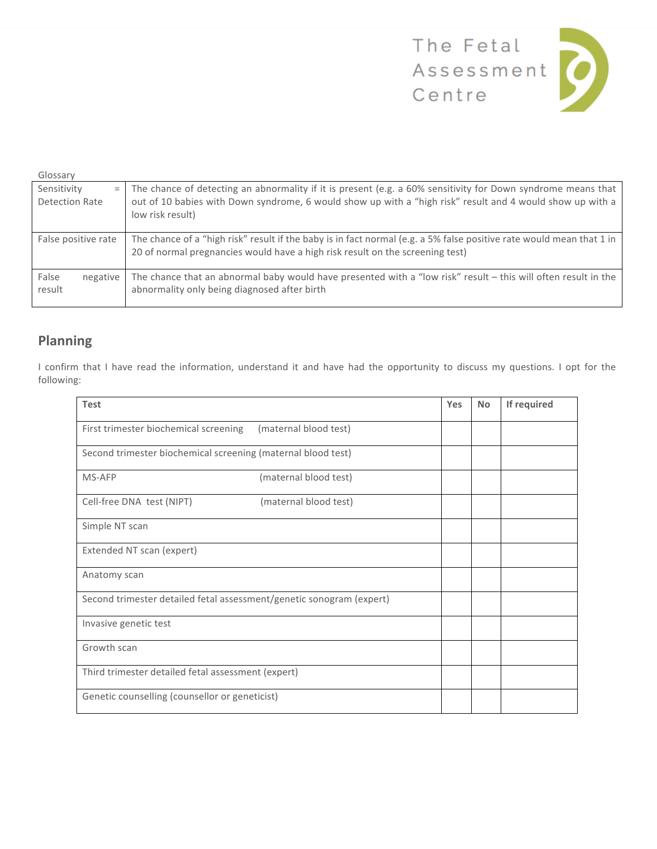

| Glossary                             |                                                                                                                                                                                                                                               |
|--------------------------------------|-----------------------------------------------------------------------------------------------------------------------------------------------------------------------------------------------------------------------------------------------|
| Sensitivity<br>$=$<br>Detection Rate | The chance of detecting an abnormality if it is present (e.g. a 60% sensitivity for Down syndrome means that<br>out of 10 babies with Down syndrome, 6 would show up with a "high risk" result and 4 would show up with a<br>low risk result) |
| False positive rate                  | The chance of a "high risk" result if the baby is in fact normal (e.g. a 5% false positive rate would mean that 1 in<br>20 of normal pregnancies would have a high risk result on the screening test)                                         |
| False<br>negative<br>result          | The chance that an abnormal baby would have presented with a "low risk" result - this will often result in the<br>abnormality only being diagnosed after birth                                                                                |

# **Planning**

I confirm that I have read the information, understand it and have had the opportunity to discuss my questions. I opt for the following:

| <b>Test</b>                                                          |                       | Yes | <b>No</b> | If required |
|----------------------------------------------------------------------|-----------------------|-----|-----------|-------------|
| First trimester biochemical screening                                | (maternal blood test) |     |           |             |
| Second trimester biochemical screening (maternal blood test)         |                       |     |           |             |
| MS-AFP                                                               | (maternal blood test) |     |           |             |
| Cell-free DNA test (NIPT)                                            | (maternal blood test) |     |           |             |
| Simple NT scan                                                       |                       |     |           |             |
| Extended NT scan (expert)                                            |                       |     |           |             |
| Anatomy scan                                                         |                       |     |           |             |
| Second trimester detailed fetal assessment/genetic sonogram (expert) |                       |     |           |             |
| Invasive genetic test                                                |                       |     |           |             |
| Growth scan                                                          |                       |     |           |             |
| Third trimester detailed fetal assessment (expert)                   |                       |     |           |             |
| Genetic counselling (counsellor or geneticist)                       |                       |     |           |             |